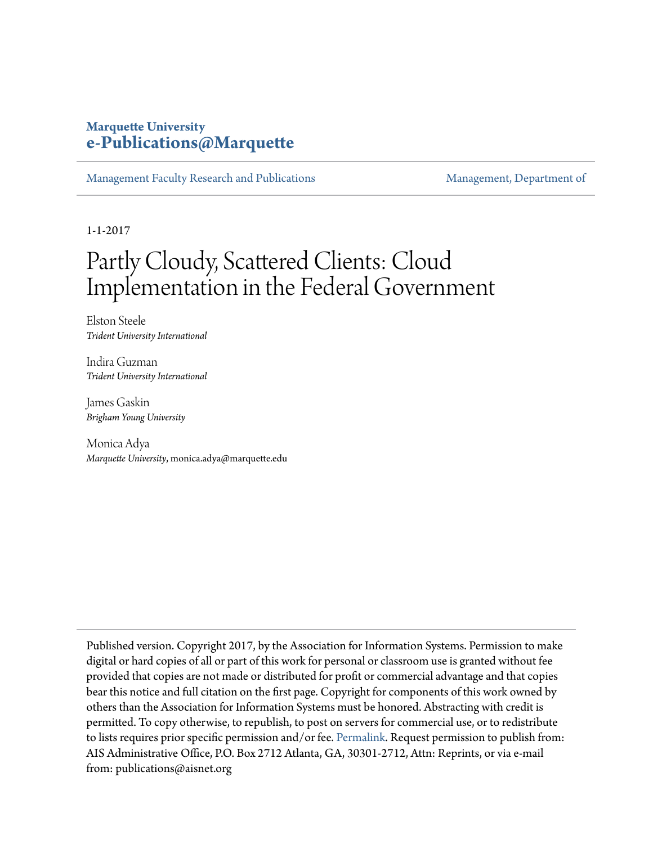## **Marquette University [e-Publications@Marquette](https://epublications.marquette.edu)**

[Management Faculty Research and Publications](https://epublications.marquette.edu/mgmt_fac) [Management, Department of](https://epublications.marquette.edu/mgmt)

1-1-2017

# Partly Cloudy, Scattered Clients: Cloud Implementation in the Federal Government

Elston Steele *Trident University International*

Indira Guzman *Trident University International*

James Gaskin *Brigham Young University*

Monica Adya *Marquette University*, monica.adya@marquette.edu

Published version. Copyright 2017, by the Association for Information Systems. Permission to make digital or hard copies of all or part of this work for personal or classroom use is granted without fee provided that copies are not made or distributed for profit or commercial advantage and that copies bear this notice and full citation on the first page. Copyright for components of this work owned by others than the Association for Information Systems must be honored. Abstracting with credit is permitted. To copy otherwise, to republish, to post on servers for commercial use, or to redistribute to lists requires prior specific permission and/or fee. [Permalink](http://aisel.aisnet.org/amcis2017/AdoptionIT/Presentations/31/). Request permission to publish from: AIS Administrative Office, P.O. Box 2712 Atlanta, GA, 30301-2712, Attn: Reprints, or via e-mail from: publications@aisnet.org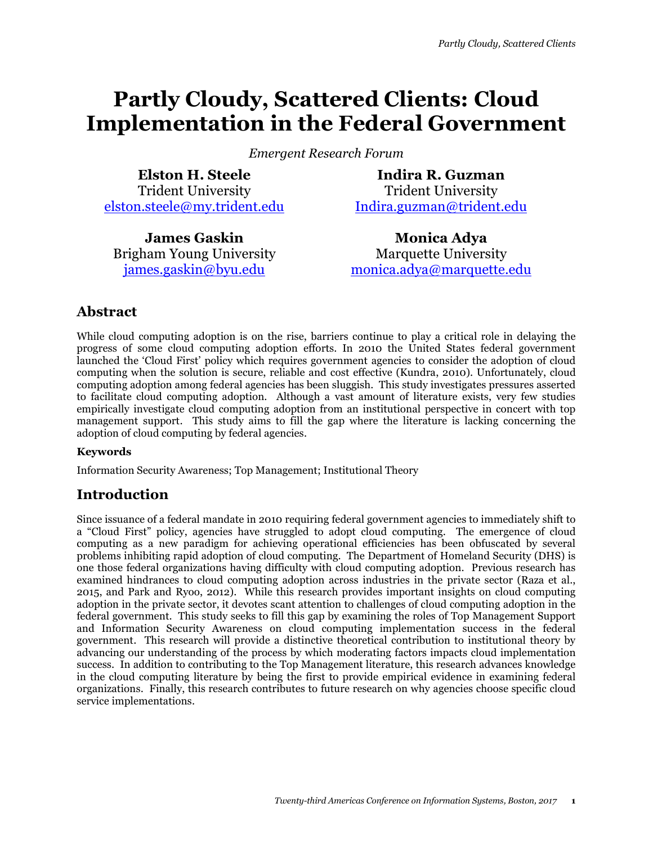## **Partly Cloudy, Scattered Clients: Cloud Implementation in the Federal Government**

*Emergent Research Forum* 

**Elston H. Steele** Trident University elston.steele@my.trident.edu

**Indira R. Guzman** Trident University Indira.guzman@trident.edu

**James Gaskin** Brigham Young University james.gaskin@byu.edu

**Monica Adya** Marquette University monica.adya@marquette.edu

## **Abstract**

While cloud computing adoption is on the rise, barriers continue to play a critical role in delaying the progress of some cloud computing adoption efforts. In 2010 the United States federal government launched the 'Cloud First' policy which requires government agencies to consider the adoption of cloud computing when the solution is secure, reliable and cost effective (Kundra, 2010). Unfortunately, cloud computing adoption among federal agencies has been sluggish. This study investigates pressures asserted to facilitate cloud computing adoption. Although a vast amount of literature exists, very few studies empirically investigate cloud computing adoption from an institutional perspective in concert with top management support. This study aims to fill the gap where the literature is lacking concerning the adoption of cloud computing by federal agencies.

#### **Keywords**

Information Security Awareness; Top Management; Institutional Theory

### **Introduction**

Since issuance of a federal mandate in 2010 requiring federal government agencies to immediately shift to a "Cloud First" policy, agencies have struggled to adopt cloud computing. The emergence of cloud computing as a new paradigm for achieving operational efficiencies has been obfuscated by several problems inhibiting rapid adoption of cloud computing. The Department of Homeland Security (DHS) is one those federal organizations having difficulty with cloud computing adoption. Previous research has examined hindrances to cloud computing adoption across industries in the private sector (Raza et al., 2015, and Park and Ryoo, 2012). While this research provides important insights on cloud computing adoption in the private sector, it devotes scant attention to challenges of cloud computing adoption in the federal government. This study seeks to fill this gap by examining the roles of Top Management Support and Information Security Awareness on cloud computing implementation success in the federal government. This research will provide a distinctive theoretical contribution to institutional theory by advancing our understanding of the process by which moderating factors impacts cloud implementation success. In addition to contributing to the Top Management literature, this research advances knowledge in the cloud computing literature by being the first to provide empirical evidence in examining federal organizations. Finally, this research contributes to future research on why agencies choose specific cloud service implementations.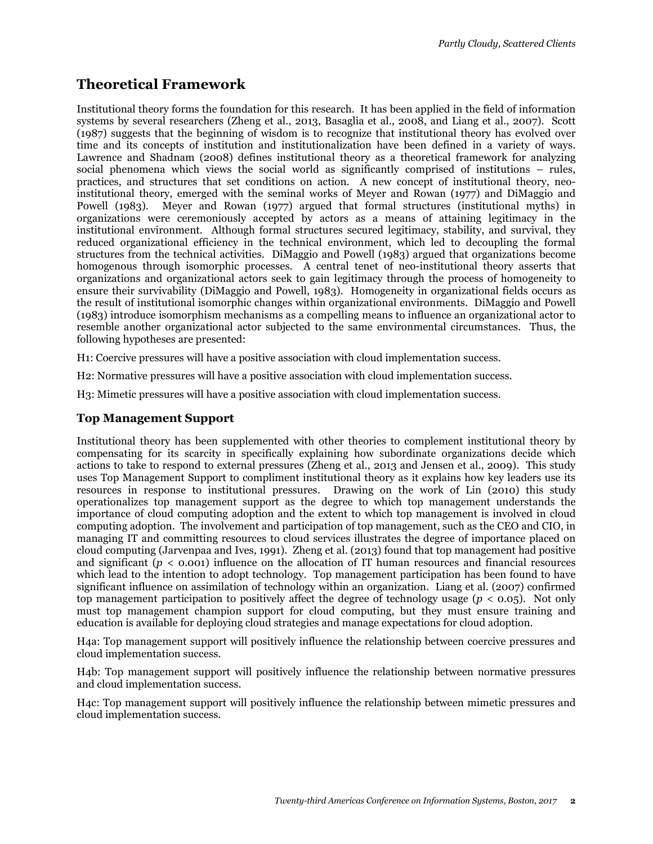## **Theoretical Framework**

Institutional theory forms the foundation for this research. It has been applied in the field of information systems by several researchers (Zheng et al., 2013, Basaglia et al., 2008, and Liang et al., 2007). Scott (1987) suggests that the beginning of wisdom is to recognize that institutional theory has evolved over time and its concepts of institution and institutionalization have been defined in a variety of ways. Lawrence and Shadnam (2008) defines institutional theory as a theoretical framework for analyzing social phenomena which views the social world as significantly comprised of institutions – rules, practices, and structures that set conditions on action. A new concept of institutional theory, neoinstitutional theory, emerged with the seminal works of Meyer and Rowan (1977) and DiMaggio and Powell (1983). Meyer and Rowan (1977) argued that formal structures (institutional myths) in organizations were ceremoniously accepted by actors as a means of attaining legitimacy in the institutional environment. Although formal structures secured legitimacy, stability, and survival, they reduced organizational efficiency in the technical environment, which led to decoupling the formal structures from the technical activities. DiMaggio and Powell (1983) argued that organizations become homogenous through isomorphic processes. A central tenet of neo-institutional theory asserts that organizations and organizational actors seek to gain legitimacy through the process of homogeneity to ensure their survivability (DiMaggio and Powell, 1983). Homogeneity in organizational fields occurs as the result of institutional isomorphic changes within organizational environments. DiMaggio and Powell (1983) introduce isomorphism mechanisms as a compelling means to influence an organizational actor to resemble another organizational actor subjected to the same environmental circumstances. Thus, the following hypotheses are presented:

H1: Coercive pressures will have a positive association with cloud implementation success.

H2: Normative pressures will have a positive association with cloud implementation success.

H3: Mimetic pressures will have a positive association with cloud implementation success.

#### **Top Management Support**

Institutional theory has been supplemented with other theories to complement institutional theory by compensating for its scarcity in specifically explaining how subordinate organizations decide which actions to take to respond to external pressures (Zheng et al., 2013 and Jensen et al., 2009). This study uses Top Management Support to compliment institutional theory as it explains how key leaders use its resources in response to institutional pressures. Drawing on the work of Lin (2010) this study operationalizes top management support as the degree to which top management understands the importance of cloud computing adoption and the extent to which top management is involved in cloud computing adoption. The involvement and participation of top management, such as the CEO and CIO, in managing IT and committing resources to cloud services illustrates the degree of importance placed on cloud computing (Jarvenpaa and Ives, 1991). Zheng et al. (2013) found that top management had positive and significant  $(p < 0.001)$  influence on the allocation of IT human resources and financial resources which lead to the intention to adopt technology. Top management participation has been found to have significant influence on assimilation of technology within an organization. Liang et al. (2007) confirmed top management participation to positively affect the degree of technology usage (*p* < 0.05). Not only must top management champion support for cloud computing, but they must ensure training and education is available for deploying cloud strategies and manage expectations for cloud adoption.

H4a: Top management support will positively influence the relationship between coercive pressures and cloud implementation success.

H4b: Top management support will positively influence the relationship between normative pressures and cloud implementation success.

H4c: Top management support will positively influence the relationship between mimetic pressures and cloud implementation success.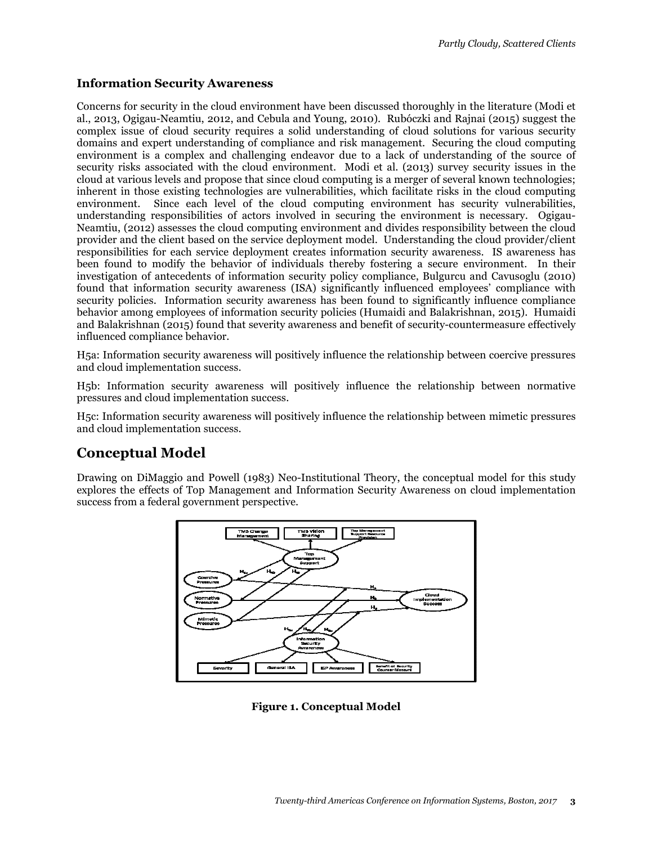#### **Information Security Awareness**

Concerns for security in the cloud environment have been discussed thoroughly in the literature (Modi et al., 2013, Ogigau-Neamtiu, 2012, and Cebula and Young, 2010). Rubóczki and Rajnai (2015) suggest the complex issue of cloud security requires a solid understanding of cloud solutions for various security domains and expert understanding of compliance and risk management. Securing the cloud computing environment is a complex and challenging endeavor due to a lack of understanding of the source of security risks associated with the cloud environment. Modi et al. (2013) survey security issues in the cloud at various levels and propose that since cloud computing is a merger of several known technologies; inherent in those existing technologies are vulnerabilities, which facilitate risks in the cloud computing environment. Since each level of the cloud computing environment has security vulnerabilities, understanding responsibilities of actors involved in securing the environment is necessary. Ogigau-Neamtiu, (2012) assesses the cloud computing environment and divides responsibility between the cloud provider and the client based on the service deployment model. Understanding the cloud provider/client responsibilities for each service deployment creates information security awareness. IS awareness has been found to modify the behavior of individuals thereby fostering a secure environment. In their investigation of antecedents of information security policy compliance, Bulgurcu and Cavusoglu (2010) found that information security awareness (ISA) significantly influenced employees' compliance with security policies. Information security awareness has been found to significantly influence compliance behavior among employees of information security policies (Humaidi and Balakrishnan, 2015). Humaidi and Balakrishnan (2015) found that severity awareness and benefit of security-countermeasure effectively influenced compliance behavior.

H5a: Information security awareness will positively influence the relationship between coercive pressures and cloud implementation success.

H5b: Information security awareness will positively influence the relationship between normative pressures and cloud implementation success.

H5c: Information security awareness will positively influence the relationship between mimetic pressures and cloud implementation success.

## **Conceptual Model**

Drawing on DiMaggio and Powell (1983) Neo-Institutional Theory, the conceptual model for this study explores the effects of Top Management and Information Security Awareness on cloud implementation success from a federal government perspective.



**Figure 1. Conceptual Model**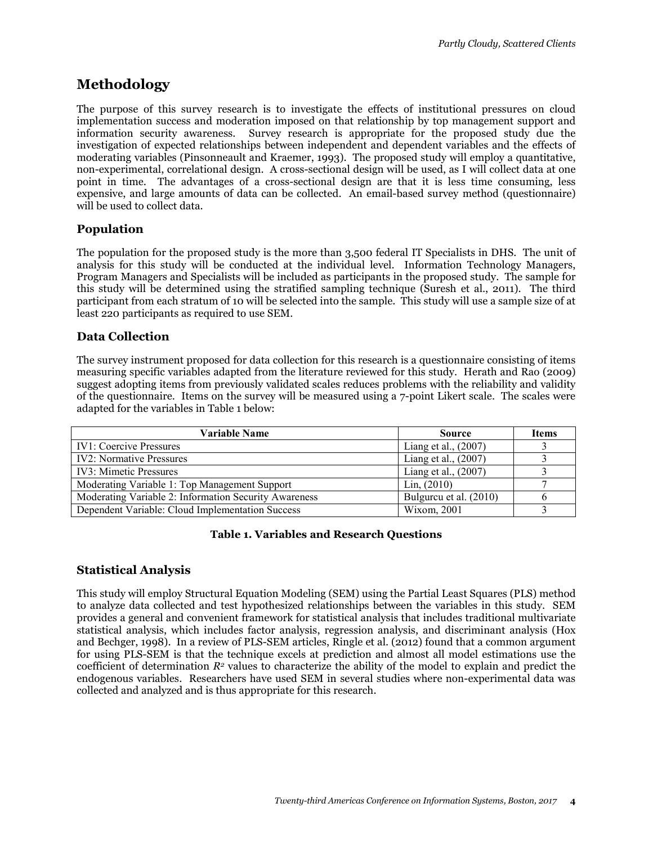## **Methodology**

The purpose of this survey research is to investigate the effects of institutional pressures on cloud implementation success and moderation imposed on that relationship by top management support and information security awareness. Survey research is appropriate for the proposed study due the investigation of expected relationships between independent and dependent variables and the effects of moderating variables (Pinsonneault and Kraemer, 1993). The proposed study will employ a quantitative, non-experimental, correlational design. A cross-sectional design will be used, as I will collect data at one point in time. The advantages of a cross-sectional design are that it is less time consuming, less expensive, and large amounts of data can be collected. An email-based survey method (questionnaire) will be used to collect data.

#### **Population**

The population for the proposed study is the more than 3,500 federal IT Specialists in DHS. The unit of analysis for this study will be conducted at the individual level. Information Technology Managers, Program Managers and Specialists will be included as participants in the proposed study. The sample for this study will be determined using the stratified sampling technique (Suresh et al., 2011). The third participant from each stratum of 10 will be selected into the sample. This study will use a sample size of at least 220 participants as required to use SEM.

#### **Data Collection**

The survey instrument proposed for data collection for this research is a questionnaire consisting of items measuring specific variables adapted from the literature reviewed for this study. Herath and Rao (2009) suggest adopting items from previously validated scales reduces problems with the reliability and validity of the questionnaire. Items on the survey will be measured using a 7-point Likert scale. The scales were adapted for the variables in Table 1 below:

| <b>Variable Name</b>                                  | <b>Source</b>          | <b>Items</b> |
|-------------------------------------------------------|------------------------|--------------|
| <b>IV1: Coercive Pressures</b>                        | Liang et al., (2007)   |              |
| <b>IV2: Normative Pressures</b>                       | Liang et al., (2007)   |              |
| <b>IV3</b> : Mimetic Pressures                        | Liang et al., (2007)   |              |
| Moderating Variable 1: Top Management Support         | Lin, (2010)            |              |
| Moderating Variable 2: Information Security Awareness | Bulgureu et al. (2010) |              |
| Dependent Variable: Cloud Implementation Success      | Wixom, 2001            |              |

#### **Table 1. Variables and Research Questions**

#### **Statistical Analysis**

This study will employ Structural Equation Modeling (SEM) using the Partial Least Squares (PLS) method to analyze data collected and test hypothesized relationships between the variables in this study. SEM provides a general and convenient framework for statistical analysis that includes traditional multivariate statistical analysis, which includes factor analysis, regression analysis, and discriminant analysis (Hox and Bechger, 1998). In a review of PLS-SEM articles, Ringle et al. (2012) found that a common argument for using PLS-SEM is that the technique excels at prediction and almost all model estimations use the coefficient of determination *R2* values to characterize the ability of the model to explain and predict the endogenous variables. Researchers have used SEM in several studies where non-experimental data was collected and analyzed and is thus appropriate for this research.